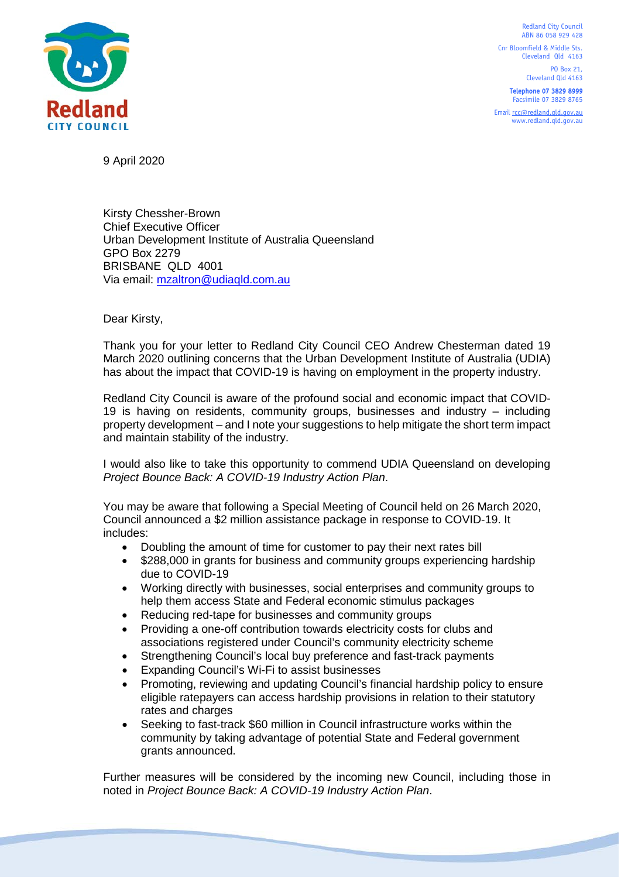Redland City Council ABN 86 058 929 428

Cnr Bloomfield & Middle Sts. Cleveland Qld 4163

> PO Box 21, Cleveland Qld 4163

Telephone 07 3829 8999 Facsimile 07 3829 8765

Emai[l rcc@redland.qld.gov.au](mailto:rcc@redland.qld.gov.au) www.redland.qld.gov.au



9 April 2020

Kirsty Chessher-Brown Chief Executive Officer Urban Development Institute of Australia Queensland GPO Box 2279 BRISBANE QLD 4001 Via email: [mzaltron@udiaqld.com.au](mailto:mzaltron@udiaqld.com.au)

Dear Kirsty,

Thank you for your letter to Redland City Council CEO Andrew Chesterman dated 19 March 2020 outlining concerns that the Urban Development Institute of Australia (UDIA) has about the impact that COVID-19 is having on employment in the property industry.

Redland City Council is aware of the profound social and economic impact that COVID-19 is having on residents, community groups, businesses and industry – including property development – and I note your suggestions to help mitigate the short term impact and maintain stability of the industry.

I would also like to take this opportunity to commend UDIA Queensland on developing *Project Bounce Back: A COVID-19 Industry Action Plan*.

You may be aware that following a Special Meeting of Council held on 26 March 2020, Council announced a \$2 million assistance package in response to COVID-19. It includes:

- Doubling the amount of time for customer to pay their next rates bill
- \$288,000 in grants for business and community groups experiencing hardship due to COVID-19
- Working directly with businesses, social enterprises and community groups to help them access State and Federal economic stimulus packages
- Reducing red-tape for businesses and community groups
- Providing a one-off contribution towards electricity costs for clubs and associations registered under Council's community electricity scheme
- Strengthening Council's local buy preference and fast-track payments
- Expanding Council's Wi-Fi to assist businesses
- Promoting, reviewing and updating Council's financial hardship policy to ensure eligible ratepayers can access hardship provisions in relation to their statutory rates and charges
- Seeking to fast-track \$60 million in Council infrastructure works within the community by taking advantage of potential State and Federal government grants announced.

Further measures will be considered by the incoming new Council, including those in noted in *Project Bounce Back: A COVID-19 Industry Action Plan*.